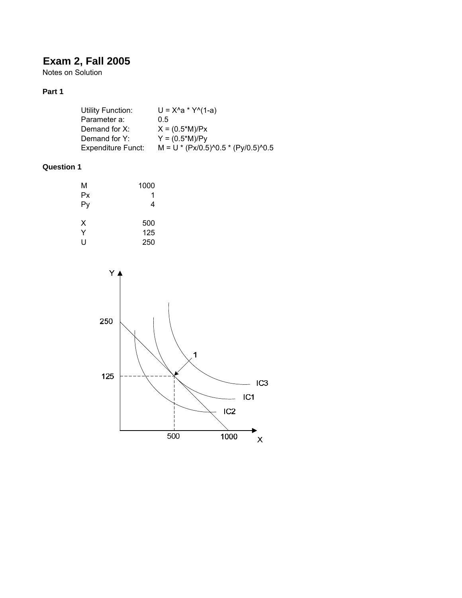# **Exam 2, Fall 2005**

Notes on Solution

# **Part 1**

| Utility Function:         | $U = X^4a * Y^4(1-a)$                 |
|---------------------------|---------------------------------------|
| Parameter a:              | 0.5                                   |
| Demand for X:             | $X = (0.5*M)/Px$                      |
| Demand for Y:             | $Y = (0.5*M)/Py$                      |
| <b>Expenditure Funct:</b> | $M = U * (Px/0.5)^0.5 * (Py/0.5)^0.5$ |

# **Question 1**

| М  | 1000 |
|----|------|
| Px | 1    |
| Py | 4    |
| х  | 500  |
| Y  | 125  |
| U  | 250  |

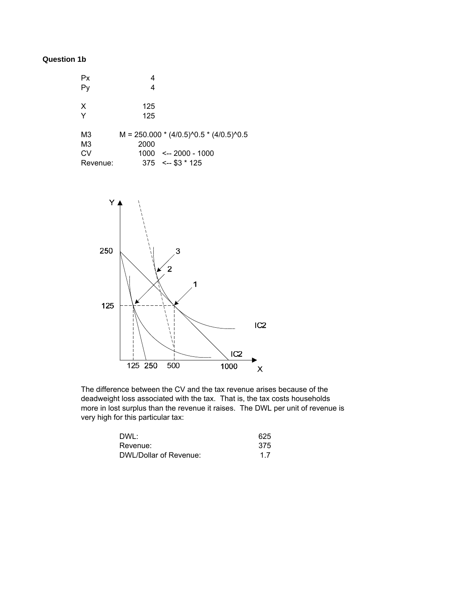## **Question 1b**

| Рx             |                                           |
|----------------|-------------------------------------------|
|                | 4                                         |
|                |                                           |
| X              | 125                                       |
| Y              | 125                                       |
|                |                                           |
| M3             | $M = 250.000 * (4/0.5)^0.5 * (4/0.5)^0.5$ |
| M <sub>3</sub> | 2000                                      |
| CV             | $1000 \leftarrow 2000 - 1000$             |
| Revenue:       | $375 \leftarrow 125$                      |



The difference between the CV and the tax revenue arises because of the deadweight loss associated with the tax. That is, the tax costs households more in lost surplus than the revenue it raises. The DWL per unit of revenue is very high for this particular tax:

| DWL:                   | 625 |
|------------------------|-----|
| Revenue:               | 375 |
| DWL/Dollar of Revenue: | 1.7 |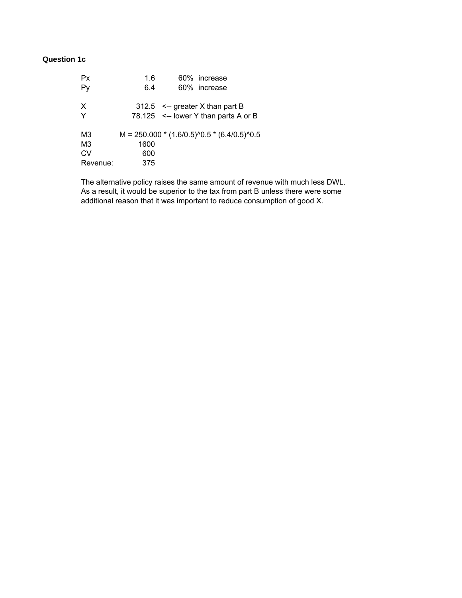# **Question 1c**

| Px                               | 1.6  | 60% increase                                                                   |
|----------------------------------|------|--------------------------------------------------------------------------------|
| Py                               | 6.4  | 60% increase                                                                   |
| $\times$<br>Y                    |      | $312.5$ <-- greater X than part B<br>78.125 $\leq$ --lower Y than parts A or B |
| M <sub>3</sub><br>M <sub>3</sub> | 1600 | $M = 250.000 * (1.6/0.5)^0.5 * (6.4/0.5)^0.5$                                  |
| CV                               | 600  |                                                                                |
| Revenue:                         | 375  |                                                                                |

The alternative policy raises the same amount of revenue with much less DWL. As a result, it would be superior to the tax from part B unless there were some additional reason that it was important to reduce consumption of good X.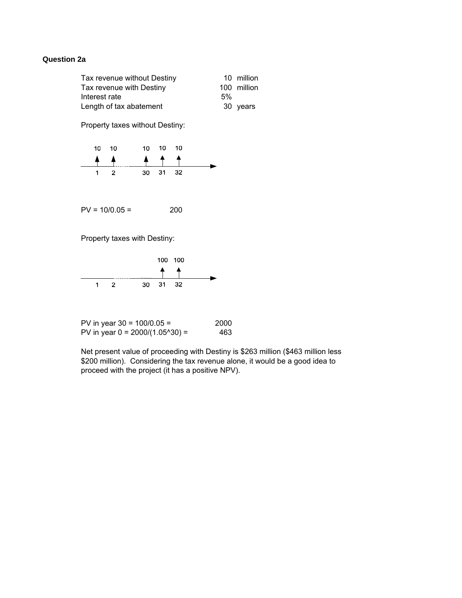### **Question 2a**

| Tax revenue without Destiny |    | 10 million  |
|-----------------------------|----|-------------|
| Tax revenue with Destiny    |    | 100 million |
| Interest rate               | 5% |             |
| Length of tax abatement     |    | 30 years    |

Property taxes without Destiny:

| $10 - 10$ | 10 10 10 |  |
|-----------|----------|--|
|           |          |  |
|           | 30 31 32 |  |

 $PV = 10/0.05 = 200$ 

Property taxes with Destiny:



| PV in year $30 = 100/0.05 =$          | 2000 |
|---------------------------------------|------|
| PV in year $0 = 2000/(1.05^{0.00}) =$ | 463  |

Net present value of proceeding with Destiny is \$263 million (\$463 million less \$200 million). Considering the tax revenue alone, it would be a good idea to proceed with the project (it has a positive NPV).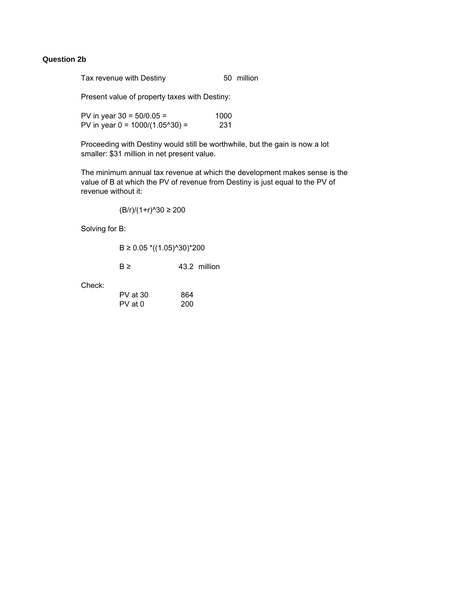### **Question 2b**

Tax revenue with Destiny **50** million

Present value of property taxes with Destiny:

PV in year  $30 = 50/0.05 =$  1000 PV in year  $0 = 1000/(1.05^{\circ}30) =$  231

Proceeding with Destiny would still be worthwhile, but the gain is now a lot smaller: \$31 million in net present value.

The minimum annual tax revenue at which the development makes sense is the value of B at which the PV of revenue from Destiny is just equal to the PV of revenue without it:

(B/r)/(1+r)^30 ≥ 200

Solving for B:

|  |  | B ≥ 0.05 *((1.05)^30)*200 |
|--|--|---------------------------|
|--|--|---------------------------|

 $B \geq 43.2$  million

Check:

| $PV$ at 30 | 864 |
|------------|-----|
| PV at 0    | 200 |